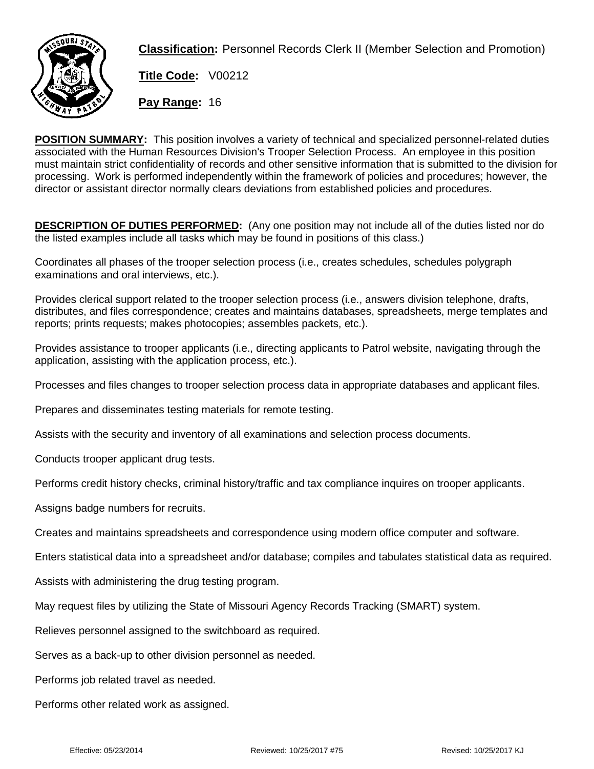

**Classification:** Personnel Records Clerk II (Member Selection and Promotion)

**Title Code:** V00212

**Pay Range:** 16

**POSITION SUMMARY:** This position involves a variety of technical and specialized personnel-related duties associated with the Human Resources Division's Trooper Selection Process. An employee in this position must maintain strict confidentiality of records and other sensitive information that is submitted to the division for processing. Work is performed independently within the framework of policies and procedures; however, the director or assistant director normally clears deviations from established policies and procedures.

**DESCRIPTION OF DUTIES PERFORMED:** (Any one position may not include all of the duties listed nor do the listed examples include all tasks which may be found in positions of this class.)

Coordinates all phases of the trooper selection process (i.e., creates schedules, schedules polygraph examinations and oral interviews, etc.).

Provides clerical support related to the trooper selection process (i.e., answers division telephone, drafts, distributes, and files correspondence; creates and maintains databases, spreadsheets, merge templates and reports; prints requests; makes photocopies; assembles packets, etc.).

Provides assistance to trooper applicants (i.e., directing applicants to Patrol website, navigating through the application, assisting with the application process, etc.).

Processes and files changes to trooper selection process data in appropriate databases and applicant files.

Prepares and disseminates testing materials for remote testing.

Assists with the security and inventory of all examinations and selection process documents.

Conducts trooper applicant drug tests.

Performs credit history checks, criminal history/traffic and tax compliance inquires on trooper applicants.

Assigns badge numbers for recruits.

Creates and maintains spreadsheets and correspondence using modern office computer and software.

Enters statistical data into a spreadsheet and/or database; compiles and tabulates statistical data as required.

Assists with administering the drug testing program.

May request files by utilizing the State of Missouri Agency Records Tracking (SMART) system.

Relieves personnel assigned to the switchboard as required.

Serves as a back-up to other division personnel as needed.

Performs job related travel as needed.

Performs other related work as assigned.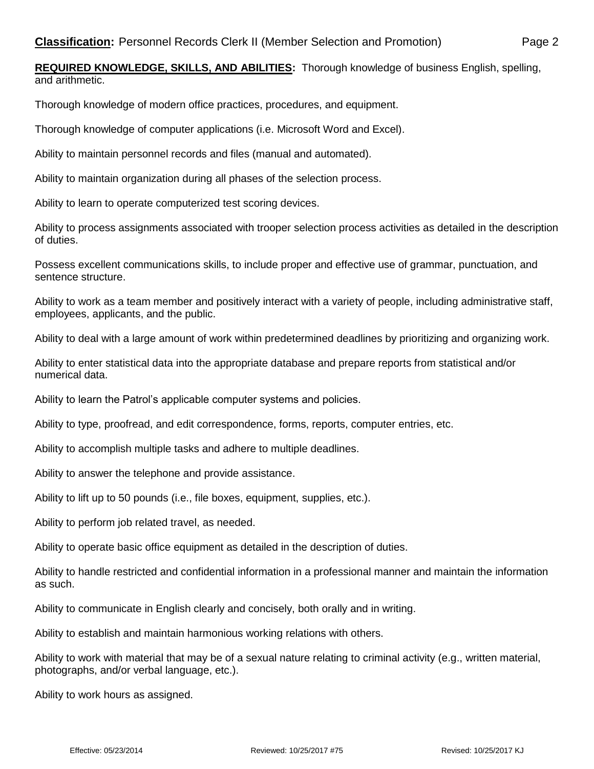**REQUIRED KNOWLEDGE, SKILLS, AND ABILITIES:** Thorough knowledge of business English, spelling, and arithmetic.

Thorough knowledge of modern office practices, procedures, and equipment.

Thorough knowledge of computer applications (i.e. Microsoft Word and Excel).

Ability to maintain personnel records and files (manual and automated).

Ability to maintain organization during all phases of the selection process.

Ability to learn to operate computerized test scoring devices.

Ability to process assignments associated with trooper selection process activities as detailed in the description of duties.

Possess excellent communications skills, to include proper and effective use of grammar, punctuation, and sentence structure.

Ability to work as a team member and positively interact with a variety of people, including administrative staff, employees, applicants, and the public.

Ability to deal with a large amount of work within predetermined deadlines by prioritizing and organizing work.

Ability to enter statistical data into the appropriate database and prepare reports from statistical and/or numerical data.

Ability to learn the Patrol's applicable computer systems and policies.

Ability to type, proofread, and edit correspondence, forms, reports, computer entries, etc.

Ability to accomplish multiple tasks and adhere to multiple deadlines.

Ability to answer the telephone and provide assistance.

Ability to lift up to 50 pounds (i.e., file boxes, equipment, supplies, etc.).

Ability to perform job related travel, as needed.

Ability to operate basic office equipment as detailed in the description of duties.

Ability to handle restricted and confidential information in a professional manner and maintain the information as such.

Ability to communicate in English clearly and concisely, both orally and in writing.

Ability to establish and maintain harmonious working relations with others.

Ability to work with material that may be of a sexual nature relating to criminal activity (e.g., written material, photographs, and/or verbal language, etc.).

Ability to work hours as assigned.